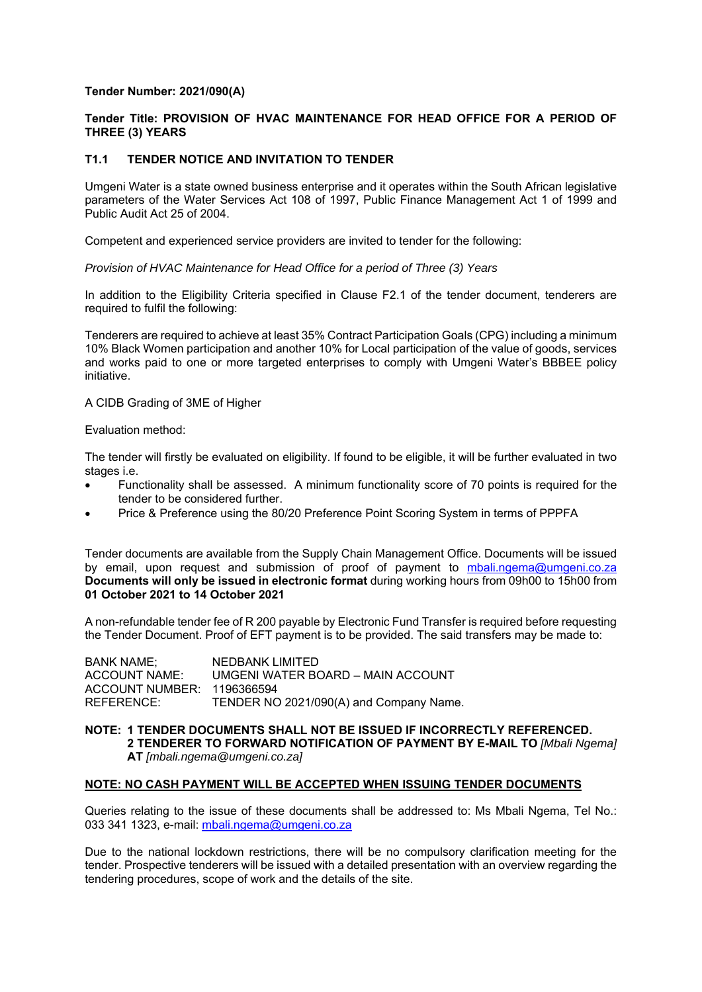### **Tender Number: 2021/090(A)**

# **Tender Title: PROVISION OF HVAC MAINTENANCE FOR HEAD OFFICE FOR A PERIOD OF THREE (3) YEARS**

# **T1.1 TENDER NOTICE AND INVITATION TO TENDER**

Umgeni Water is a state owned business enterprise and it operates within the South African legislative parameters of the Water Services Act 108 of 1997, Public Finance Management Act 1 of 1999 and Public Audit Act 25 of 2004.

Competent and experienced service providers are invited to tender for the following:

*Provision of HVAC Maintenance for Head Office for a period of Three (3) Years* 

In addition to the Eligibility Criteria specified in Clause F2.1 of the tender document, tenderers are required to fulfil the following:

Tenderers are required to achieve at least 35% Contract Participation Goals (CPG) including a minimum 10% Black Women participation and another 10% for Local participation of the value of goods, services and works paid to one or more targeted enterprises to comply with Umgeni Water's BBBEE policy initiative.

### A CIDB Grading of 3ME of Higher

Evaluation method:

The tender will firstly be evaluated on eligibility. If found to be eligible, it will be further evaluated in two stages i.e.

- Functionality shall be assessed. A minimum functionality score of 70 points is required for the tender to be considered further.
- Price & Preference using the 80/20 Preference Point Scoring System in terms of PPPFA

Tender documents are available from the Supply Chain Management Office. Documents will be issued by email, upon request and submission of proof of payment to mbali.ngema@umgeni.co.za **Documents will only be issued in electronic format** during working hours from 09h00 to 15h00 from **01 October 2021 to 14 October 2021** 

A non-refundable tender fee of R 200 payable by Electronic Fund Transfer is required before requesting the Tender Document. Proof of EFT payment is to be provided. The said transfers may be made to:

| <b>BANK NAME:</b>          | NEDBANK LIMITED                         |
|----------------------------|-----------------------------------------|
| <b>ACCOUNT NAME:</b>       | UMGENI WATER BOARD - MAIN ACCOUNT       |
| ACCOUNT NUMBER: 1196366594 |                                         |
| REFERENCE:                 | TENDER NO 2021/090(A) and Company Name. |

#### **NOTE: 1 TENDER DOCUMENTS SHALL NOT BE ISSUED IF INCORRECTLY REFERENCED. 2 TENDERER TO FORWARD NOTIFICATION OF PAYMENT BY E-MAIL TO** *[Mbali Ngema]* **AT** *[mbali.ngema@umgeni.co.za]*

### **NOTE: NO CASH PAYMENT WILL BE ACCEPTED WHEN ISSUING TENDER DOCUMENTS**

Queries relating to the issue of these documents shall be addressed to: Ms Mbali Ngema, Tel No.: 033 341 1323, e-mail: mbali.ngema@umgeni.co.za

Due to the national lockdown restrictions, there will be no compulsory clarification meeting for the tender. Prospective tenderers will be issued with a detailed presentation with an overview regarding the tendering procedures, scope of work and the details of the site.